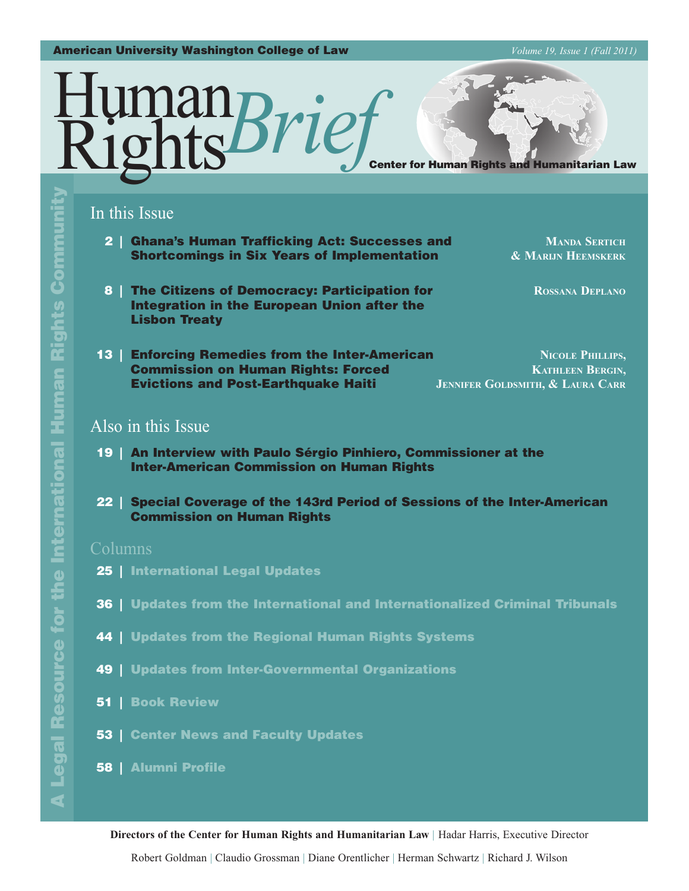#### American University Washington College of Law *Volume 19, Issue 1 (Fall 2011)*



# In this Issue

**2 | Ghana's Human Trafficking Act: Successes and MANDA SERTICH Shortcomings in Six Years of Implementation 6 MARIJN HEEMSKERK** 

8 | The Citizens of Democracy: Participation for **ROSSANA DEPLANO** Integration in the European Union after the Lisbon Treaty

**13 | Enforcing Remedies from the Inter-American <b>NICOLE PHILLIPS. Commission on Human Rights: Forced <b>KATHLEEN BERGIN, KATHLEEN BERGIN, Evictions and Post-Earthquake Haiti JENNIFER GOLDSMITH, & LAURA CARR** 

# Also in this Issue

- 19 | An Interview with Paulo Sérgio Pinhiero, Commissioner at the Inter-American Commission on Human Rights
- 22 | Special Coverage of the 143rd Period of Sessions of the Inter-American Commission on Human Rights

## Columns

- 25 | International Legal Updates
- 36 | Updates from the International and Internationalized Criminal Tribunals
- **44 | Updates from the Regional Human Rights Systems**
- 49 | Updates from Inter-Governmental Organizations
- 51 | Book Review
- 53 | Center News and Faculty Updates

## 58 | Alumni Profile

**Directors of the Center for Human Rights and Humanitarian Law** | Hadar Harris, Executive Director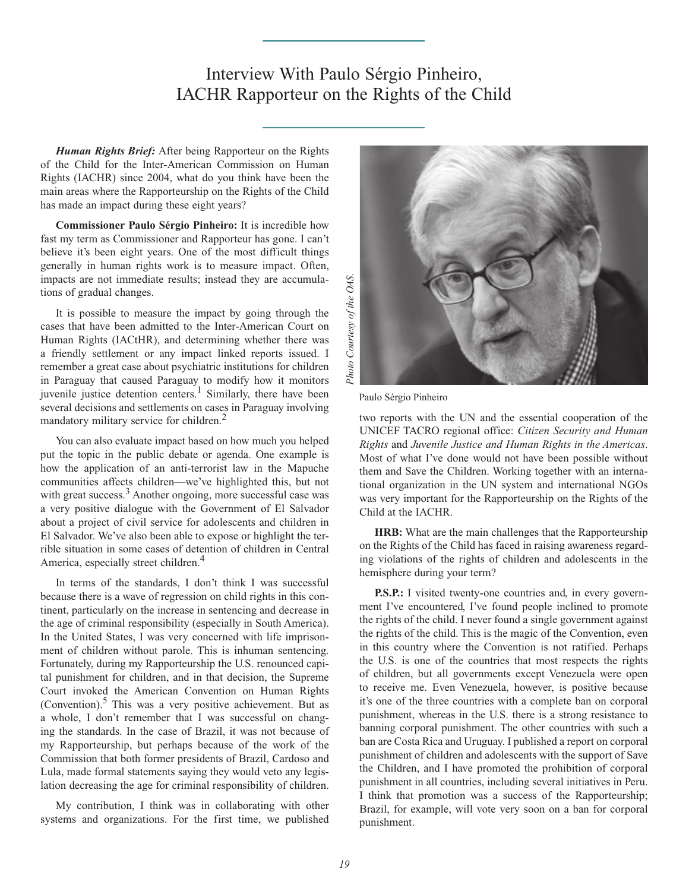# Interview With Paulo Sérgio Pinheiro, IACHR Rapporteur on the Rights of the Child

*Human Rights Brief:* After being Rapporteur on the Rights of the Child for the Inter-American Commission on Human Rights (IACHR) since 2004, what do you think have been the main areas where the Rapporteurship on the Rights of the Child has made an impact during these eight years?

**Commissioner Paulo Sérgio Pinheiro:** It is incredible how fast my term as Commissioner and Rapporteur has gone. I can't believe it's been eight years. One of the most difficult things generally in human rights work is to measure impact. Often, impacts are not immediate results; instead they are accumulations of gradual changes.

It is possible to measure the impact by going through the cases that have been admitted to the Inter-American Court on Human Rights (IACtHR), and determining whether there was a friendly settlement or any impact linked reports issued. I remember a great case about psychiatric institutions for children in Paraguay that caused Paraguay to modify how it monitors juvenile justice detention centers.<sup>1</sup> Similarly, there have been several decisions and settlements on cases in Paraguay involving mandatory military service for children.<sup>2</sup>

You can also evaluate impact based on how much you helped put the topic in the public debate or agenda. One example is how the application of an anti-terrorist law in the Mapuche communities affects children—we've highlighted this, but not with great success.<sup>3</sup> Another ongoing, more successful case was a very positive dialogue with the Government of El Salvador about a project of civil service for adolescents and children in El Salvador. We've also been able to expose or highlight the terrible situation in some cases of detention of children in Central America, especially street children.<sup>4</sup>

In terms of the standards, I don't think I was successful because there is a wave of regression on child rights in this continent, particularly on the increase in sentencing and decrease in the age of criminal responsibility (especially in South America). In the United States, I was very concerned with life imprisonment of children without parole. This is inhuman sentencing. Fortunately, during my Rapporteurship the U.S. renounced capital punishment for children, and in that decision, the Supreme Court invoked the American Convention on Human Rights (Convention). $5$  This was a very positive achievement. But as a whole, I don't remember that I was successful on changing the standards. In the case of Brazil, it was not because of my Rapporteurship, but perhaps because of the work of the Commission that both former presidents of Brazil, Cardoso and Lula, made formal statements saying they would veto any legislation decreasing the age for criminal responsibility of children.

My contribution, I think was in collaborating with other systems and organizations. For the first time, we published



Paulo Sérgio Pinheiro

two reports with the UN and the essential cooperation of the UNICEF TACRO regional office: *Citizen Security and Human Rights* and *Juvenile Justice and Human Rights in the Americas*. Most of what I've done would not have been possible without them and Save the Children. Working together with an international organization in the UN system and international NGOs was very important for the Rapporteurship on the Rights of the Child at the IACHR.

**HRB:** What are the main challenges that the Rapporteurship on the Rights of the Child has faced in raising awareness regarding violations of the rights of children and adolescents in the hemisphere during your term?

**P.S.P.:** I visited twenty-one countries and, in every government I've encountered, I've found people inclined to promote the rights of the child. I never found a single government against the rights of the child. This is the magic of the Convention, even in this country where the Convention is not ratified. Perhaps the U.S. is one of the countries that most respects the rights of children, but all governments except Venezuela were open to receive me. Even Venezuela, however, is positive because it's one of the three countries with a complete ban on corporal punishment, whereas in the U.S. there is a strong resistance to banning corporal punishment. The other countries with such a ban are Costa Rica and Uruguay. I published a report on corporal punishment of children and adolescents with the support of Save the Children, and I have promoted the prohibition of corporal punishment in all countries, including several initiatives in Peru. I think that promotion was a success of the Rapporteurship; Brazil, for example, will vote very soon on a ban for corporal punishment.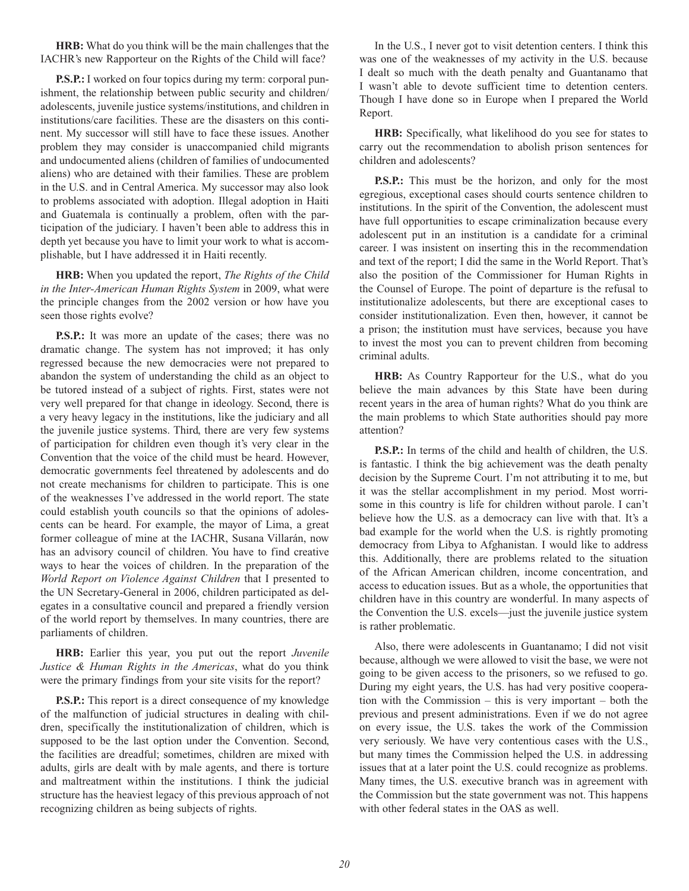**HRB:** What do you think will be the main challenges that the IACHR's new Rapporteur on the Rights of the Child will face?

**P.S.P.:** I worked on four topics during my term: corporal punishment, the relationship between public security and children/ adolescents, juvenile justice systems/institutions, and children in institutions/care facilities. These are the disasters on this continent. My successor will still have to face these issues. Another problem they may consider is unaccompanied child migrants and undocumented aliens (children of families of undocumented aliens) who are detained with their families. These are problem in the U.S. and in Central America. My successor may also look to problems associated with adoption. Illegal adoption in Haiti and Guatemala is continually a problem, often with the participation of the judiciary. I haven't been able to address this in depth yet because you have to limit your work to what is accomplishable, but I have addressed it in Haiti recently.

**HRB:** When you updated the report, *The Rights of the Child in the Inter-American Human Rights System* in 2009, what were the principle changes from the 2002 version or how have you seen those rights evolve?

**P.S.P.:** It was more an update of the cases; there was no dramatic change. The system has not improved; it has only regressed because the new democracies were not prepared to abandon the system of understanding the child as an object to be tutored instead of a subject of rights. First, states were not very well prepared for that change in ideology. Second, there is a very heavy legacy in the institutions, like the judiciary and all the juvenile justice systems. Third, there are very few systems of participation for children even though it's very clear in the Convention that the voice of the child must be heard. However, democratic governments feel threatened by adolescents and do not create mechanisms for children to participate. This is one of the weaknesses I've addressed in the world report. The state could establish youth councils so that the opinions of adolescents can be heard. For example, the mayor of Lima, a great former colleague of mine at the IACHR, Susana Villarán, now has an advisory council of children. You have to find creative ways to hear the voices of children. In the preparation of the *World Report on Violence Against Children* that I presented to the UN Secretary-General in 2006, children participated as delegates in a consultative council and prepared a friendly version of the world report by themselves. In many countries, there are parliaments of children.

**HRB:** Earlier this year, you put out the report *Juvenile Justice & Human Rights in the Americas*, what do you think were the primary findings from your site visits for the report?

**P.S.P.:** This report is a direct consequence of my knowledge of the malfunction of judicial structures in dealing with children, specifically the institutionalization of children, which is supposed to be the last option under the Convention. Second, the facilities are dreadful; sometimes, children are mixed with adults, girls are dealt with by male agents, and there is torture and maltreatment within the institutions. I think the judicial structure has the heaviest legacy of this previous approach of not recognizing children as being subjects of rights.

In the U.S., I never got to visit detention centers. I think this was one of the weaknesses of my activity in the U.S. because I dealt so much with the death penalty and Guantanamo that I wasn't able to devote sufficient time to detention centers. Though I have done so in Europe when I prepared the World Report.

**HRB:** Specifically, what likelihood do you see for states to carry out the recommendation to abolish prison sentences for children and adolescents?

**P.S.P.:** This must be the horizon, and only for the most egregious, exceptional cases should courts sentence children to institutions. In the spirit of the Convention, the adolescent must have full opportunities to escape criminalization because every adolescent put in an institution is a candidate for a criminal career. I was insistent on inserting this in the recommendation and text of the report; I did the same in the World Report. That's also the position of the Commissioner for Human Rights in the Counsel of Europe. The point of departure is the refusal to institutionalize adolescents, but there are exceptional cases to consider institutionalization. Even then, however, it cannot be a prison; the institution must have services, because you have to invest the most you can to prevent children from becoming criminal adults.

**HRB:** As Country Rapporteur for the U.S., what do you believe the main advances by this State have been during recent years in the area of human rights? What do you think are the main problems to which State authorities should pay more attention?

**P.S.P.:** In terms of the child and health of children, the U.S. is fantastic. I think the big achievement was the death penalty decision by the Supreme Court. I'm not attributing it to me, but it was the stellar accomplishment in my period. Most worrisome in this country is life for children without parole. I can't believe how the U.S. as a democracy can live with that. It's a bad example for the world when the U.S. is rightly promoting democracy from Libya to Afghanistan. I would like to address this. Additionally, there are problems related to the situation of the African American children, income concentration, and access to education issues. But as a whole, the opportunities that children have in this country are wonderful. In many aspects of the Convention the U.S. excels—just the juvenile justice system is rather problematic.

Also, there were adolescents in Guantanamo; I did not visit because, although we were allowed to visit the base, we were not going to be given access to the prisoners, so we refused to go. During my eight years, the U.S. has had very positive cooperation with the Commission – this is very important – both the previous and present administrations. Even if we do not agree on every issue, the U.S. takes the work of the Commission very seriously. We have very contentious cases with the U.S., but many times the Commission helped the U.S. in addressing issues that at a later point the U.S. could recognize as problems. Many times, the U.S. executive branch was in agreement with the Commission but the state government was not. This happens with other federal states in the OAS as well.